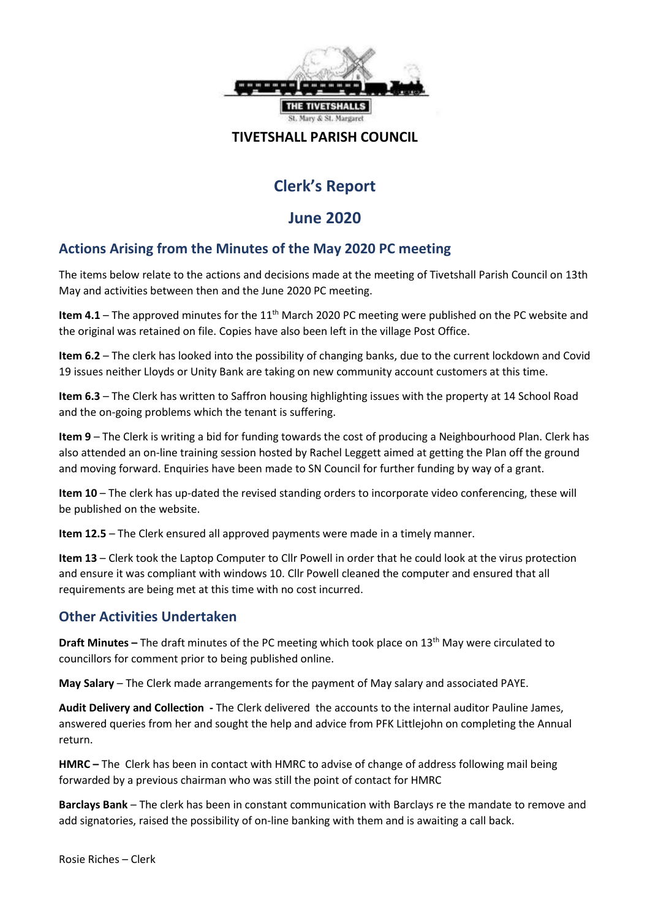

#### **TIVETSHALL PARISH COUNCIL**

# **Clerk's Report**

# **June 2020**

## **Actions Arising from the Minutes of the May 2020 PC meeting**

The items below relate to the actions and decisions made at the meeting of Tivetshall Parish Council on 13th May and activities between then and the June 2020 PC meeting.

Item 4.1 - The approved minutes for the 11<sup>th</sup> March 2020 PC meeting were published on the PC website and the original was retained on file. Copies have also been left in the village Post Office.

**Item 6.2** – The clerk has looked into the possibility of changing banks, due to the current lockdown and Covid 19 issues neither Lloyds or Unity Bank are taking on new community account customers at this time.

**Item 6.3** – The Clerk has written to Saffron housing highlighting issues with the property at 14 School Road and the on-going problems which the tenant is suffering.

**Item 9** – The Clerk is writing a bid for funding towards the cost of producing a Neighbourhood Plan. Clerk has also attended an on-line training session hosted by Rachel Leggett aimed at getting the Plan off the ground and moving forward. Enquiries have been made to SN Council for further funding by way of a grant.

**Item 10** – The clerk has up-dated the revised standing orders to incorporate video conferencing, these will be published on the website.

**Item 12.5** – The Clerk ensured all approved payments were made in a timely manner.

**Item 13** – Clerk took the Laptop Computer to Cllr Powell in order that he could look at the virus protection and ensure it was compliant with windows 10. Cllr Powell cleaned the computer and ensured that all requirements are being met at this time with no cost incurred.

### **Other Activities Undertaken**

**Draft Minutes –** The draft minutes of the PC meeting which took place on 13th May were circulated to councillors for comment prior to being published online.

**May Salary** – The Clerk made arrangements for the payment of May salary and associated PAYE.

**Audit Delivery and Collection -** The Clerk delivered the accounts to the internal auditor Pauline James, answered queries from her and sought the help and advice from PFK Littlejohn on completing the Annual return.

**HMRC –** TheClerk has been in contact with HMRC to advise of change of address following mail being forwarded by a previous chairman who was still the point of contact for HMRC

**Barclays Bank** – The clerk has been in constant communication with Barclays re the mandate to remove and add signatories, raised the possibility of on-line banking with them and is awaiting a call back.